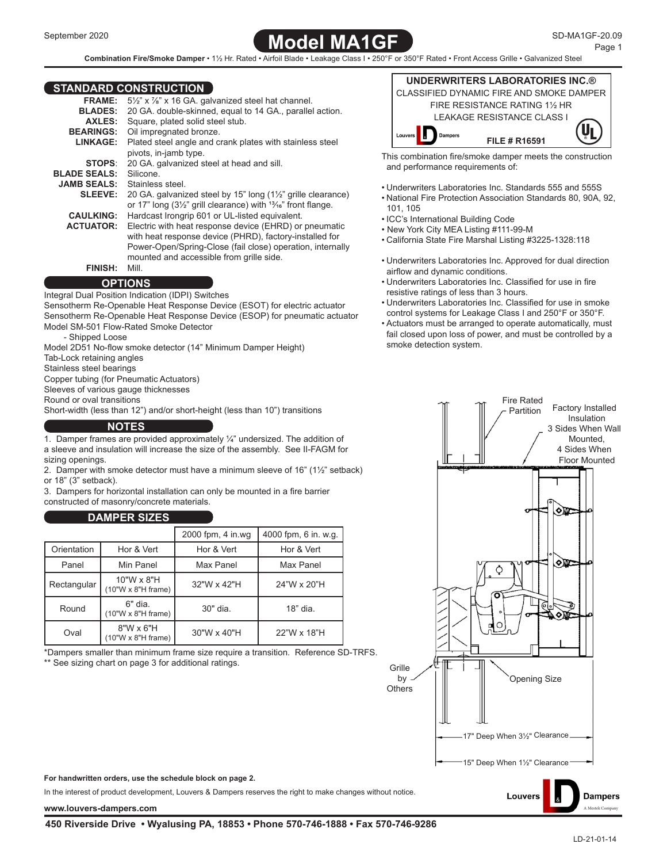

**Combination Fire/Smoke Damper** • 1½ Hr. Rated • Airfoil Blade • Leakage Class I • 250°F or 350°F Rated • Front Access Grille • Galvanized Steel

#### **STANDARD CONSTRUCTION**

| 1812812             |                                                                                      |
|---------------------|--------------------------------------------------------------------------------------|
| <b>FRAME:</b>       | 51/2" x 1/8" x 16 GA. galvanized steel hat channel.                                  |
| <b>BLADES:</b>      | 20 GA. double-skinned, equal to 14 GA., parallel action.                             |
| <b>AXLES:</b>       | Square, plated solid steel stub.                                                     |
| <b>BEARINGS:</b>    | Oil impregnated bronze.                                                              |
| LINKAGE:            | Plated steel angle and crank plates with stainless steel                             |
|                     | pivots, in-jamb type.                                                                |
| <b>STOPS:</b>       | 20 GA. galvanized steel at head and sill.                                            |
| <b>BLADE SEALS:</b> | Silicone                                                                             |
| <b>JAMB SEALS:</b>  | Stainless steel                                                                      |
| <b>SLEEVE:</b>      | 20 GA. galvanized steel by 15" long (1½" grille clearance)                           |
|                     | or 17" long $(3\frac{1}{2})$ " grill clearance) with $\frac{13}{16}$ " front flange. |
| <b>CAULKING:</b>    | Hardcast Irongrip 601 or UL-listed equivalent.                                       |
| <b>ACTUATOR:</b>    | Electric with heat response device (EHRD) or pneumatic                               |
|                     | with heat response device (PHRD), factory-installed for                              |
|                     | Power-Open/Spring-Close (fail close) operation, internally                           |
|                     | mounted and accessible from grille side.                                             |
| <b>FINISH:</b>      | Mill.                                                                                |

**OPTIONS**

Integral Dual Position Indication (IDPI) Switches Sensotherm Re-Openable Heat Response Device (ESOT) for electric actuator Sensotherm Re-Openable Heat Response Device (ESOP) for pneumatic actuator Model SM-501 Flow-Rated Smoke Detector

- Shipped Loose

Model 2D51 No-flow smoke detector (14" Minimum Damper Height)

Tab-Lock retaining angles

Stainless steel bearings

Copper tubing (for Pneumatic Actuators)

Sleeves of various gauge thicknesses

Round or oval transitions

Short-width (less than 12") and/or short-height (less than 10") transitions

#### **NOTES**

1. Damper frames are provided approximately ¼" undersized. The addition of a sleeve and insulation will increase the size of the assembly. See II-FAGM for sizing openings.

2. Damper with smoke detector must have a minimum sleeve of 16" (1½" setback) or 18" (3" setback).

3. Dampers for horizontal installation can only be mounted in a fire barrier constructed of masonry/concrete materials.

### **DAMPER SIZES**

|                                                |                                      | 2000 fpm, 4 in.wg | 4000 fpm, 6 in. w.g. |  |
|------------------------------------------------|--------------------------------------|-------------------|----------------------|--|
| Orientation                                    | Hor & Vert                           | Hor & Vert        | Hor & Vert           |  |
| Panel                                          | Min Panel                            | Max Panel         | Max Panel            |  |
| Rectangular                                    | 10"W x 8"H<br>(10"W x 8"H frame)     | 32"W x 42"H       | 24"W x 20"H          |  |
| Round                                          | 6" dia.<br>$(10"W \times 8"H frame)$ | 30" dia.          | $18"$ dia.           |  |
| $8"W \times 6"H$<br>Oval<br>(10"W x 8"H frame) |                                      | 30"W x 40"H       | 22"W x 18"H          |  |

\*Dampers smaller than minimum frame size require a transition. Reference SD-TRFS.

\*\* See sizing chart on page 3 for additional ratings.



- This combination fire/smoke damper meets the construction and performance requirements of:
- Underwriters Laboratories Inc. Standards 555 and 555S
- National Fire Protection Association Standards 80, 90A, 92, 101, 105
- ICC's International Building Code
- New York City MEA Listing #111-99-M
- California State Fire Marshal Listing #3225-1328:118
- Underwriters Laboratories Inc. Approved for dual direction airflow and dynamic conditions.
- Underwriters Laboratories Inc. Classified for use in fire resistive ratings of less than 3 hours.
- Underwriters Laboratories Inc. Classified for use in smoke control systems for Leakage Class I and 250°F or 350°F.
- Actuators must be arranged to operate automatically, must fail closed upon loss of power, and must be controlled by a smoke detection system.



Louvers

**For handwritten orders, use the schedule block on page 2.**

In the interest of product development, Louvers & Dampers reserves the right to make changes without notice.

**[www.louvers-dampers.com](http://louvers-dampers.com)** [A Mestek Company](http://louvers-dampers.com) A Mestek Company A Mestek Company A Mestek Company A Mestek Company A Mestek Company A Mestek Company A Mestek Company A Mestek Company A Mestek Company A Mestek Company A Mestek

**Dampers**